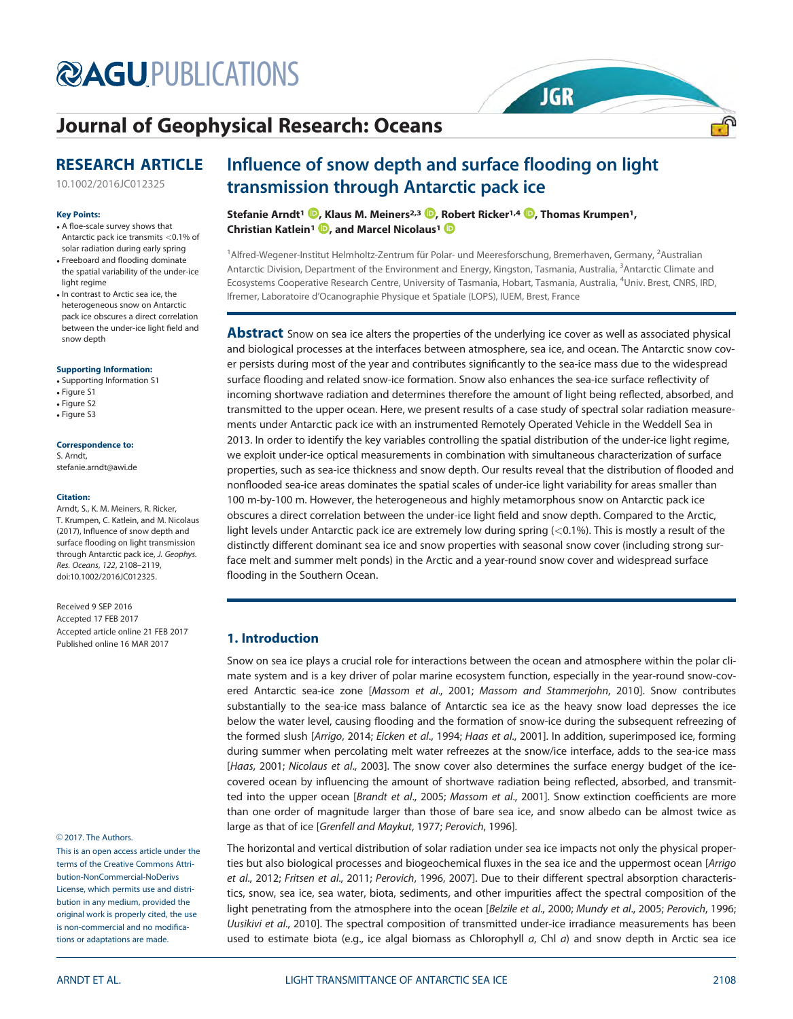# **@AGU[PUBLICATIONS](http://publications.agu.org/)**

# [Journal of Geophysical Research: Oceans](http://onlinelibrary.wiley.com/journal/10.1002/(ISSN)2169-9291/)

# RESEARCH ARTICLE

[10.1002/2016JC012325](http://dx.doi.org/10.1002/2016JC012325)

#### Key Points:

- A floe-scale survey shows that Antarctic pack ice transmits <0.1% of solar radiation during early spring
- Freeboard and flooding dominate the spatial variability of the under-ice light regime
- In contrast to Arctic sea ice, the heterogeneous snow on Antarctic pack ice obscures a direct correlation between the under-ice light field and snow depth

#### Supporting Information:

- [Supporting Information S1](http://dx.doi.org/10.1002/2016JC012325)
- Figure S1
- Figure S2
- Figure S3

#### Correspondence to:

S. Arndt, stefanie.arndt@awi.de

#### Citation:

Arndt, S., K. M. Meiners, R. Ricker, T. Krumpen, C. Katlein, and M. Nicolaus (2017), Influence of snow depth and surface flooding on light transmission through Antarctic pack ice, J. Geophys. Res. Oceans, 122, 2108–2119, doi:10.1002/2016JC012325.

Received 9 SEP 2016 Accepted 17 FEB 2017 Accepted article online 21 FEB 2017 Published online 16 MAR 2017

#### © 2017. The Authors.

This is an open access article under the terms of the [Creative Commons Attri](http://creativecommons.org/licenses/by-nc-nd/4.0/)[bution-NonCommercial-NoDerivs](http://creativecommons.org/licenses/by-nc-nd/4.0/) License, which permits use and distribution in any medium, provided the original work is properly cited, the use is non-commercial and no modifications or adaptations are made.

# Influence of snow depth and surface flooding on light transmission through Antarctic pack ice

Stefanie Arndt<sup>1</sup> <sup>(D</sup>[,](http://orcid.org/0000-0001-6928-7757) Klaus M. Meiners<sup>2,3</sup> D, Robert Ricker<sup>1,4</sup> D, Thomas Krumpen<sup>1</sup>, Christian Katlein<sup>1</sup> D[,](http://orcid.org/0000-0003-2422-0414) and Marcel Nicolaus<sup>1</sup> D

<sup>1</sup> Alfred-Wegener-Institut Helmholtz-Zentrum für Polar- und Meeresforschung, Bremerhaven, Germany, <sup>2</sup> Australian Antarctic Division, Department of the Environment and Energy, Kingston, Tasmania, Australia, <sup>3</sup>Antarctic Climate and Ecosystems Cooperative Research Centre, University of Tasmania, Hobart, Tasmania, Australia, <sup>4</sup>Univ. Brest, CNRS, IRD, Ifremer, Laboratoire d'Ocanographie Physique et Spatiale (LOPS), IUEM, Brest, France

**JGR** 

ூ

**Abstract** Snow on sea ice alters the properties of the underlying ice cover as well as associated physical and biological processes at the interfaces between atmosphere, sea ice, and ocean. The Antarctic snow cover persists during most of the year and contributes significantly to the sea-ice mass due to the widespread surface flooding and related snow-ice formation. Snow also enhances the sea-ice surface reflectivity of incoming shortwave radiation and determines therefore the amount of light being reflected, absorbed, and transmitted to the upper ocean. Here, we present results of a case study of spectral solar radiation measurements under Antarctic pack ice with an instrumented Remotely Operated Vehicle in the Weddell Sea in 2013. In order to identify the key variables controlling the spatial distribution of the under-ice light regime, we exploit under-ice optical measurements in combination with simultaneous characterization of surface properties, such as sea-ice thickness and snow depth. Our results reveal that the distribution of flooded and nonflooded sea-ice areas dominates the spatial scales of under-ice light variability for areas smaller than 100 m-by-100 m. However, the heterogeneous and highly metamorphous snow on Antarctic pack ice obscures a direct correlation between the under-ice light field and snow depth. Compared to the Arctic, light levels under Antarctic pack ice are extremely low during spring  $( $0.1\%$ ).$  This is mostly a result of the distinctly different dominant sea ice and snow properties with seasonal snow cover (including strong surface melt and summer melt ponds) in the Arctic and a year-round snow cover and widespread surface flooding in the Southern Ocean.

# 1. Introduction

Snow on sea ice plays a crucial role for interactions between the ocean and atmosphere within the polar climate system and is a key driver of polar marine ecosystem function, especially in the year-round snow-covered Antarctic sea-ice zone [Massom et al., 2001; Massom and Stammerjohn, 2010]. Snow contributes substantially to the sea-ice mass balance of Antarctic sea ice as the heavy snow load depresses the ice below the water level, causing flooding and the formation of snow-ice during the subsequent refreezing of the formed slush [Arrigo, 2014; Eicken et al., 1994; Haas et al., 2001]. In addition, superimposed ice, forming during summer when percolating melt water refreezes at the snow/ice interface, adds to the sea-ice mass [Haas, 2001; Nicolaus et al., 2003]. The snow cover also determines the surface energy budget of the icecovered ocean by influencing the amount of shortwave radiation being reflected, absorbed, and transmitted into the upper ocean [Brandt et al., 2005; Massom et al., 2001]. Snow extinction coefficients are more than one order of magnitude larger than those of bare sea ice, and snow albedo can be almost twice as large as that of ice [Grenfell and Maykut, 1977; Perovich, 1996].

The horizontal and vertical distribution of solar radiation under sea ice impacts not only the physical properties but also biological processes and biogeochemical fluxes in the sea ice and the uppermost ocean [Arrigo] et al., 2012; Fritsen et al., 2011; Perovich, 1996, 2007]. Due to their different spectral absorption characteristics, snow, sea ice, sea water, biota, sediments, and other impurities affect the spectral composition of the light penetrating from the atmosphere into the ocean [Belzile et al., 2000; Mundy et al., 2005; Perovich, 1996; Uusikivi et al., 2010]. The spectral composition of transmitted under-ice irradiance measurements has been used to estimate biota (e.g., ice algal biomass as Chlorophyll  $a$ , Chl  $a$ ) and snow depth in Arctic sea ice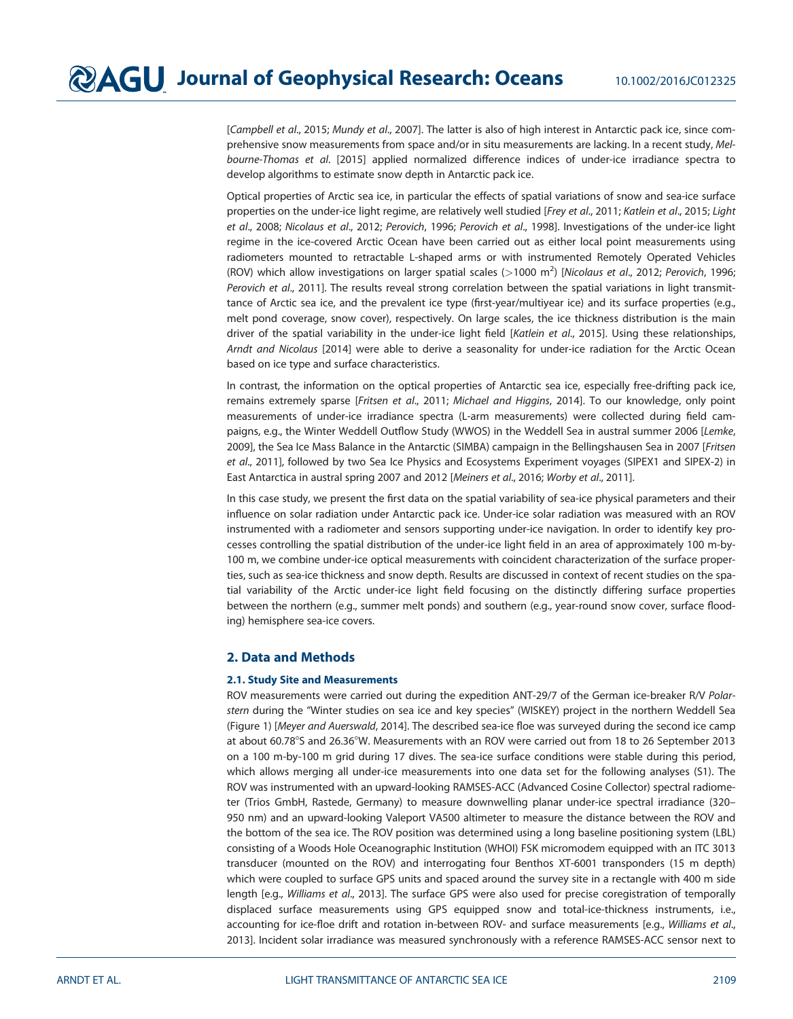[Campbell et al., 2015; Mundy et al., 2007]. The latter is also of high interest in Antarctic pack ice, since comprehensive snow measurements from space and/or in situ measurements are lacking. In a recent study, Melbourne-Thomas et al. [2015] applied normalized difference indices of under-ice irradiance spectra to develop algorithms to estimate snow depth in Antarctic pack ice.

Optical properties of Arctic sea ice, in particular the effects of spatial variations of snow and sea-ice surface properties on the under-ice light regime, are relatively well studied [Frey et al., 2011; Katlein et al., 2015; Light et al., 2008; Nicolaus et al., 2012; Perovich, 1996; Perovich et al., 1998]. Investigations of the under-ice light regime in the ice-covered Arctic Ocean have been carried out as either local point measurements using radiometers mounted to retractable L-shaped arms or with instrumented Remotely Operated Vehicles (ROV) which allow investigations on larger spatial scales ( $>$ 1000 m<sup>2</sup>) [Nicolaus et al., 2012; Perovich, 1996; Perovich et al., 2011]. The results reveal strong correlation between the spatial variations in light transmittance of Arctic sea ice, and the prevalent ice type (first-year/multiyear ice) and its surface properties (e.g., melt pond coverage, snow cover), respectively. On large scales, the ice thickness distribution is the main driver of the spatial variability in the under-ice light field [Katlein et al., 2015]. Using these relationships, Arndt and Nicolaus [2014] were able to derive a seasonality for under-ice radiation for the Arctic Ocean based on ice type and surface characteristics.

In contrast, the information on the optical properties of Antarctic sea ice, especially free-drifting pack ice, remains extremely sparse [Fritsen et al., 2011; Michael and Higgins, 2014]. To our knowledge, only point measurements of under-ice irradiance spectra (L-arm measurements) were collected during field campaigns, e.g., the Winter Weddell Outflow Study (WWOS) in the Weddell Sea in austral summer 2006 [Lemke, 2009], the Sea Ice Mass Balance in the Antarctic (SIMBA) campaign in the Bellingshausen Sea in 2007 [Fritsen et al., 2011], followed by two Sea Ice Physics and Ecosystems Experiment voyages (SIPEX1 and SIPEX-2) in East Antarctica in austral spring 2007 and 2012 [Meiners et al., 2016; Worby et al., 2011].

In this case study, we present the first data on the spatial variability of sea-ice physical parameters and their influence on solar radiation under Antarctic pack ice. Under-ice solar radiation was measured with an ROV instrumented with a radiometer and sensors supporting under-ice navigation. In order to identify key processes controlling the spatial distribution of the under-ice light field in an area of approximately 100 m-by-100 m, we combine under-ice optical measurements with coincident characterization of the surface properties, such as sea-ice thickness and snow depth. Results are discussed in context of recent studies on the spatial variability of the Arctic under-ice light field focusing on the distinctly differing surface properties between the northern (e.g., summer melt ponds) and southern (e.g., year-round snow cover, surface flooding) hemisphere sea-ice covers.

# 2. Data and Methods

# 2.1. Study Site and Measurements

ROV measurements were carried out during the expedition ANT-29/7 of the German ice-breaker R/V Polarstern during the "Winter studies on sea ice and key species" (WISKEY) project in the northern Weddell Sea (Figure 1) [Meyer and Auerswald, 2014]. The described sea-ice floe was surveyed during the second ice camp at about 60.78°S and 26.36°W. Measurements with an ROV were carried out from 18 to 26 September 2013 on a 100 m-by-100 m grid during 17 dives. The sea-ice surface conditions were stable during this period, which allows merging all under-ice measurements into one data set for the following analyses (S1). The ROV was instrumented with an upward-looking RAMSES-ACC (Advanced Cosine Collector) spectral radiometer (Trios GmbH, Rastede, Germany) to measure downwelling planar under-ice spectral irradiance (320– 950 nm) and an upward-looking Valeport VA500 altimeter to measure the distance between the ROV and the bottom of the sea ice. The ROV position was determined using a long baseline positioning system (LBL) consisting of a Woods Hole Oceanographic Institution (WHOI) FSK micromodem equipped with an ITC 3013 transducer (mounted on the ROV) and interrogating four Benthos XT-6001 transponders (15 m depth) which were coupled to surface GPS units and spaced around the survey site in a rectangle with 400 m side length [e.g., Williams et al., 2013]. The surface GPS were also used for precise coregistration of temporally displaced surface measurements using GPS equipped snow and total-ice-thickness instruments, i.e., accounting for ice-floe drift and rotation in-between ROV- and surface measurements [e.g., Williams et al., 2013]. Incident solar irradiance was measured synchronously with a reference RAMSES-ACC sensor next to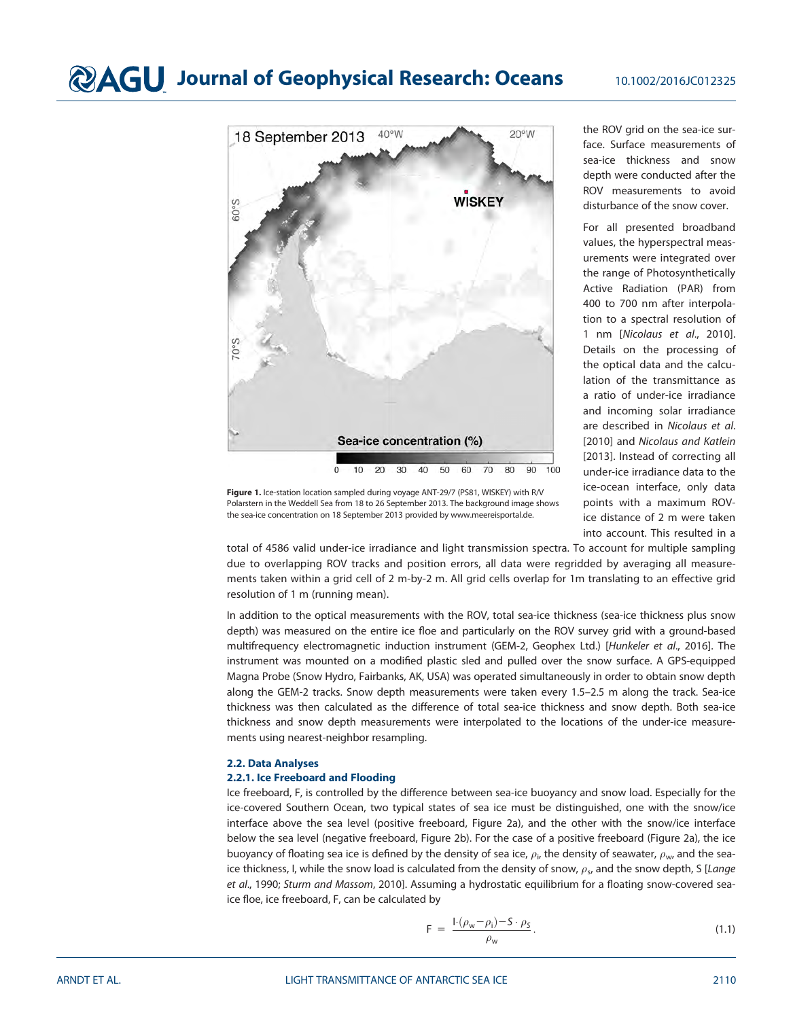

the ROV grid on the sea-ice surface. Surface measurements of sea-ice thickness and snow depth were conducted after the ROV measurements to avoid disturbance of the snow cover.

For all presented broadband values, the hyperspectral measurements were integrated over the range of Photosynthetically Active Radiation (PAR) from 400 to 700 nm after interpolation to a spectral resolution of 1 nm [Nicolaus et al., 2010]. Details on the processing of the optical data and the calculation of the transmittance as a ratio of under-ice irradiance and incoming solar irradiance are described in Nicolaus et al. [2010] and Nicolaus and Katlein [2013]. Instead of correcting all under-ice irradiance data to the ice-ocean interface, only data points with a maximum ROVice distance of 2 m were taken into account. This resulted in a

Figure 1. Ice-station location sampled during voyage ANT-29/7 (PS81, WISKEY) with R/V Polarstern in the Weddell Sea from 18 to 26 September 2013. The background image shows the sea-ice concentration on 18 September 2013 provided by [www.meereisportal.de.](http://www.meereisportal.de)

total of 4586 valid under-ice irradiance and light transmission spectra. To account for multiple sampling due to overlapping ROV tracks and position errors, all data were regridded by averaging all measurements taken within a grid cell of 2 m-by-2 m. All grid cells overlap for 1m translating to an effective grid resolution of 1 m (running mean).

In addition to the optical measurements with the ROV, total sea-ice thickness (sea-ice thickness plus snow depth) was measured on the entire ice floe and particularly on the ROV survey grid with a ground-based multifrequency electromagnetic induction instrument (GEM-2, Geophex Ltd.) [Hunkeler et al., 2016]. The instrument was mounted on a modified plastic sled and pulled over the snow surface. A GPS-equipped Magna Probe (Snow Hydro, Fairbanks, AK, USA) was operated simultaneously in order to obtain snow depth along the GEM-2 tracks. Snow depth measurements were taken every 1.5–2.5 m along the track. Sea-ice thickness was then calculated as the difference of total sea-ice thickness and snow depth. Both sea-ice thickness and snow depth measurements were interpolated to the locations of the under-ice measurements using nearest-neighbor resampling.

# 2.2. Data Analyses

# 2.2.1. Ice Freeboard and Flooding

Ice freeboard, F, is controlled by the difference between sea-ice buoyancy and snow load. Especially for the ice-covered Southern Ocean, two typical states of sea ice must be distinguished, one with the snow/ice interface above the sea level (positive freeboard, Figure 2a), and the other with the snow/ice interface below the sea level (negative freeboard, Figure 2b). For the case of a positive freeboard (Figure 2a), the ice buoyancy of floating sea ice is defined by the density of sea ice,  $\rho_{\rm i}$ , the density of seawater,  $\rho_{\rm w}$ , and the seaice thickness, I, while the snow load is calculated from the density of snow,  $\rho_s$ , and the snow depth, S [Lange et al., 1990; Sturm and Massom, 2010]. Assuming a hydrostatic equilibrium for a floating snow-covered seaice floe, ice freeboard, F, can be calculated by

$$
F = \frac{1 \cdot (\rho_w - \rho_i) - S \cdot \rho_S}{\rho_w}.
$$
\n(1.1)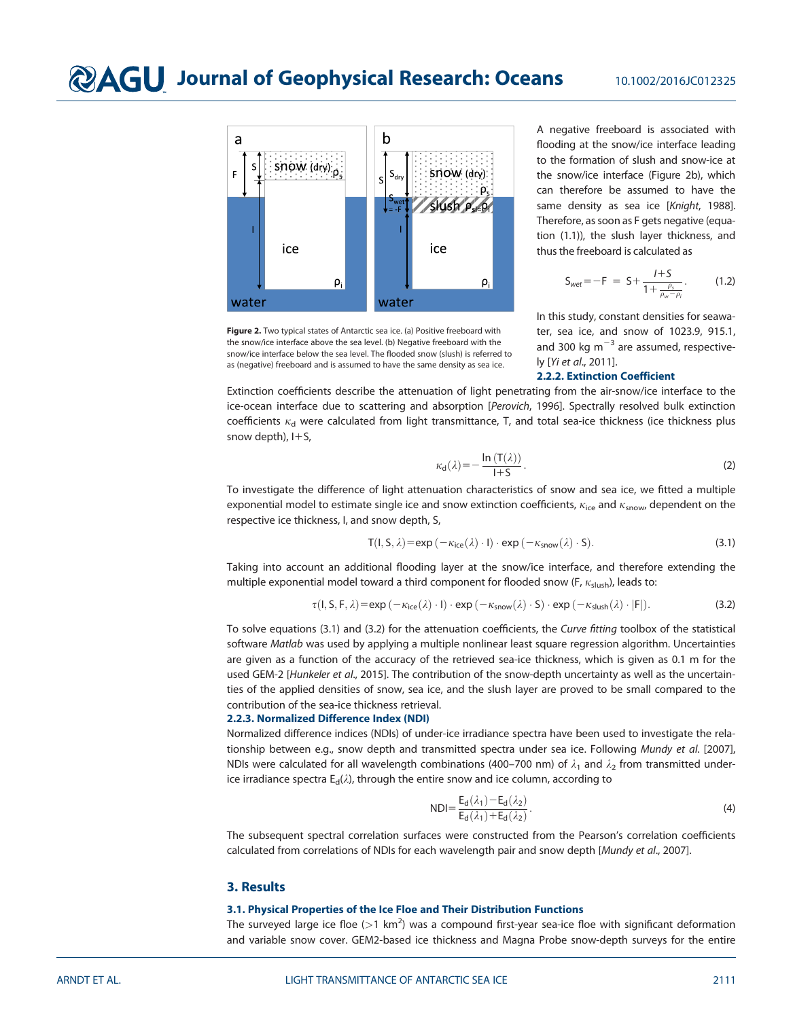

Figure 2. Two typical states of Antarctic sea ice. (a) Positive freeboard with the snow/ice interface above the sea level. (b) Negative freeboard with the snow/ice interface below the sea level. The flooded snow (slush) is referred to as (negative) freeboard and is assumed to have the same density as sea ice.

A negative freeboard is associated with flooding at the snow/ice interface leading to the formation of slush and snow-ice at the snow/ice interface (Figure 2b), which can therefore be assumed to have the same density as sea ice [Knight, 1988]. Therefore, as soon as F gets negative (equation (1.1)), the slush layer thickness, and thus the freeboard is calculated as

$$
S_{wet} = -F = S + \frac{I + S}{1 + \frac{\rho_s}{\rho_w - \rho_i}}.
$$
 (1.2)

In this study, constant densities for seawater, sea ice, and snow of 1023.9, 915.1, and 300 kg  $m^{-3}$  are assumed, respectively [Yi et al., 2011].

### 2.2.2. Extinction Coefficient

Extinction coefficients describe the attenuation of light penetrating from the air-snow/ice interface to the ice-ocean interface due to scattering and absorption [Perovich, 1996]. Spectrally resolved bulk extinction coefficients  $\kappa_d$  were calculated from light transmittance, T, and total sea-ice thickness (ice thickness plus snow depth),  $I + S$ ,

$$
\kappa_{\mathbf{d}}(\lambda) = -\frac{\ln\left(\mathsf{T}(\lambda)\right)}{1+S}.\tag{2}
$$

To investigate the difference of light attenuation characteristics of snow and sea ice, we fitted a multiple exponential model to estimate single ice and snow extinction coefficients,  $\kappa_{\text{ice}}$  and  $\kappa_{\text{snow}}$ , dependent on the respective ice thickness, I, and snow depth, S,

$$
T(I, S, \lambda) = exp(-\kappa_{ice}(\lambda) \cdot I) \cdot exp(-\kappa_{snow}(\lambda) \cdot S).
$$
 (3.1)

Taking into account an additional flooding layer at the snow/ice interface, and therefore extending the multiple exponential model toward a third component for flooded snow (F,  $\kappa_{\text{slush}}$ ), leads to:

$$
\tau(l, S, F, \lambda) = \exp(-\kappa_{\text{ice}}(\lambda) \cdot l) \cdot \exp(-\kappa_{\text{snow}}(\lambda) \cdot S) \cdot \exp(-\kappa_{\text{slush}}(\lambda) \cdot |F|). \tag{3.2}
$$

To solve equations (3.1) and (3.2) for the attenuation coefficients, the Curve fitting toolbox of the statistical software Matlab was used by applying a multiple nonlinear least square regression algorithm. Uncertainties are given as a function of the accuracy of the retrieved sea-ice thickness, which is given as 0.1 m for the used GEM-2 [Hunkeler et al., 2015]. The contribution of the snow-depth uncertainty as well as the uncertainties of the applied densities of snow, sea ice, and the slush layer are proved to be small compared to the contribution of the sea-ice thickness retrieval.

# 2.2.3. Normalized Difference Index (NDI)

Normalized difference indices (NDIs) of under-ice irradiance spectra have been used to investigate the relationship between e.g., snow depth and transmitted spectra under sea ice. Following Mundy et al. [2007], NDIs were calculated for all wavelength combinations (400–700 nm) of  $\lambda_1$  and  $\lambda_2$  from transmitted underice irradiance spectra  $E_d(\lambda)$ , through the entire snow and ice column, according to

$$
NDI = \frac{E_d(\lambda_1) - E_d(\lambda_2)}{E_d(\lambda_1) + E_d(\lambda_2)}.
$$
\n(4)

The subsequent spectral correlation surfaces were constructed from the Pearson's correlation coefficients calculated from correlations of NDIs for each wavelength pair and snow depth [Mundy et al., 2007].

# 3. Results

### 3.1. Physical Properties of the Ice Floe and Their Distribution Functions

The surveyed large ice floe (>1 km<sup>2</sup>) was a compound first-year sea-ice floe with significant deformation and variable snow cover. GEM2-based ice thickness and Magna Probe snow-depth surveys for the entire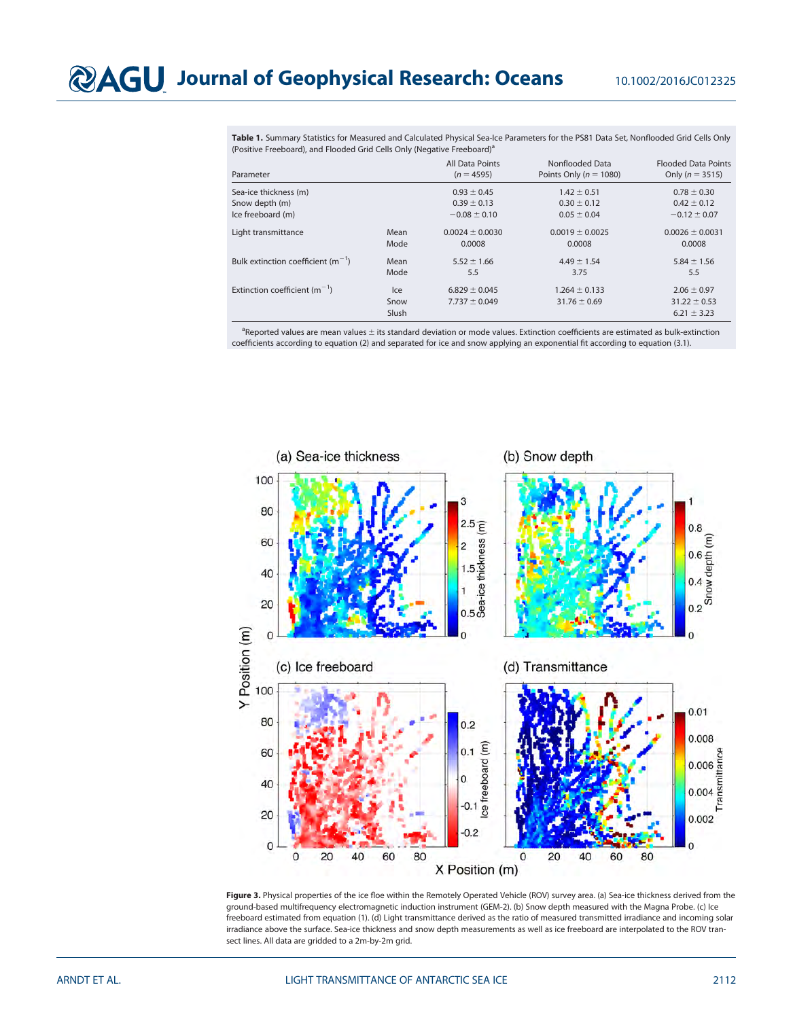Table 1. Summary Statistics for Measured and Calculated Physical Sea-Ice Parameters for the PS81 Data Set, Nonflooded Grid Cells Only (Positive Freeboard), and Flooded Grid Cells Only (Negative Freeboard)<sup>a</sup>

| Parameter                              |                      | All Data Points<br>$(n = 4595)$        | Nonflooded Data<br>Points Only ( $n = 1080$ ) | <b>Flooded Data Points</b><br>Only ( $n = 3515$ )      |
|----------------------------------------|----------------------|----------------------------------------|-----------------------------------------------|--------------------------------------------------------|
| Sea-ice thickness (m)                  |                      | $0.93 \pm 0.45$                        | $1.42 \pm 0.51$                               | $0.78 \pm 0.30$                                        |
| Snow depth (m)                         |                      | $0.39 \pm 0.13$                        | $0.30 \pm 0.12$                               | $0.42 \pm 0.12$                                        |
| Ice freeboard (m)                      |                      | $-0.08 \pm 0.10$                       | $0.05 \pm 0.04$                               | $-0.12 \pm 0.07$                                       |
| Light transmittance                    | Mean<br>Mode         | $0.0024 \pm 0.0030$<br>0.0008          | $0.0019 \pm 0.0025$<br>0.0008                 | $0.0026 \pm 0.0031$<br>0.0008                          |
| Bulk extinction coefficient $(m^{-1})$ | Mean<br>Mode         | $5.52 \pm 1.66$<br>5.5                 | $4.49 \pm 1.54$<br>3.75                       | $5.84 \pm 1.56$<br>5.5                                 |
| Extinction coefficient $(m^{-1})$      | Ice<br>Snow<br>Slush | $6.829 \pm 0.045$<br>$7.737 \pm 0.049$ | $1.264 \pm 0.133$<br>$31.76 \pm 0.69$         | $2.06 \pm 0.97$<br>$31.22 \pm 0.53$<br>$6.21 \pm 3.23$ |

<sup>a</sup>Reported values are mean values ± its standard deviation or mode values. Extinction coefficients are estimated as bulk-extinction coefficients according to equation (2) and separated for ice and snow applying an exponential fit according to equation (3.1).



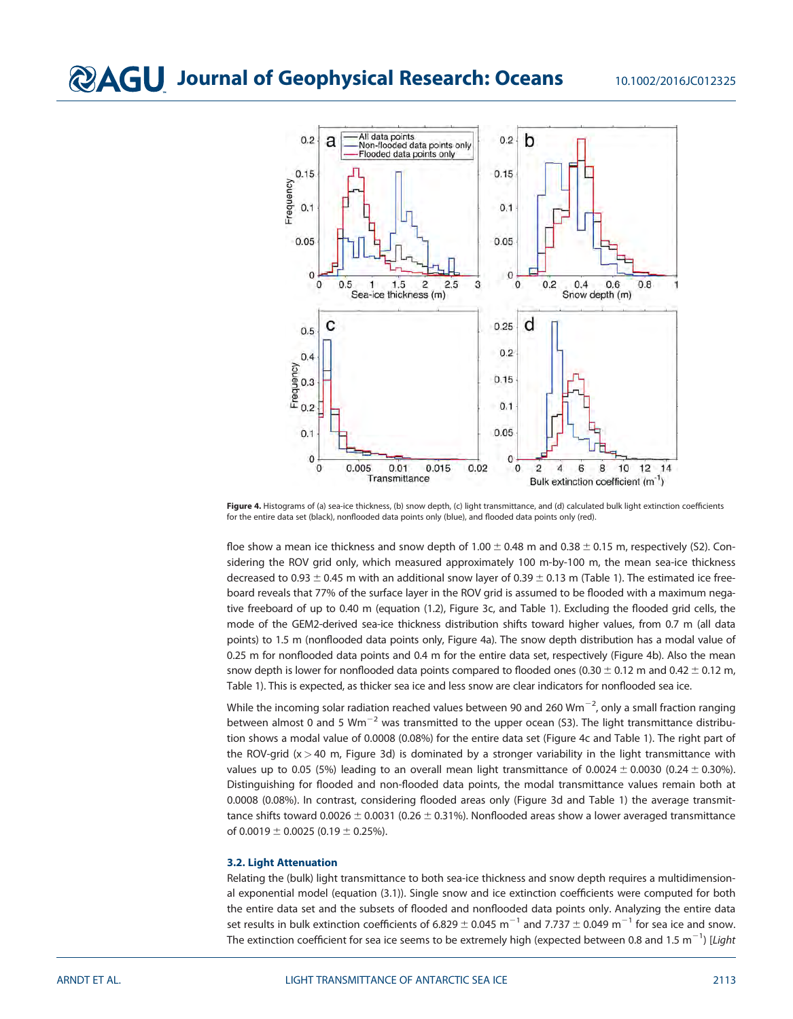

Figure 4. Histograms of (a) sea-ice thickness, (b) snow depth, (c) light transmittance, and (d) calculated bulk light extinction coefficients for the entire data set (black), nonflooded data points only (blue), and flooded data points only (red).

floe show a mean ice thickness and snow depth of  $1.00 \pm 0.48$  m and  $0.38 \pm 0.15$  m, respectively (S2). Considering the ROV grid only, which measured approximately 100 m-by-100 m, the mean sea-ice thickness decreased to 0.93  $\pm$  0.45 m with an additional snow layer of 0.39  $\pm$  0.13 m (Table 1). The estimated ice freeboard reveals that 77% of the surface layer in the ROV grid is assumed to be flooded with a maximum negative freeboard of up to 0.40 m (equation (1.2), Figure 3c, and Table 1). Excluding the flooded grid cells, the mode of the GEM2-derived sea-ice thickness distribution shifts toward higher values, from 0.7 m (all data points) to 1.5 m (nonflooded data points only, Figure 4a). The snow depth distribution has a modal value of 0.25 m for nonflooded data points and 0.4 m for the entire data set, respectively (Figure 4b). Also the mean snow depth is lower for nonflooded data points compared to flooded ones (0.30  $\pm$  0.12 m and 0.42  $\pm$  0.12 m, Table 1). This is expected, as thicker sea ice and less snow are clear indicators for nonflooded sea ice.

While the incoming solar radiation reached values between 90 and 260 Wm $^{-2}$ , only a small fraction ranging between almost 0 and 5  $Wm^{-2}$  was transmitted to the upper ocean (S3). The light transmittance distribution shows a modal value of 0.0008 (0.08%) for the entire data set (Figure 4c and Table 1). The right part of the ROV-grid (x > 40 m, Figure 3d) is dominated by a stronger variability in the light transmittance with values up to 0.05 (5%) leading to an overall mean light transmittance of 0.0024  $\pm$  0.0030 (0.24  $\pm$  0.30%). Distinguishing for flooded and non-flooded data points, the modal transmittance values remain both at 0.0008 (0.08%). In contrast, considering flooded areas only (Figure 3d and Table 1) the average transmittance shifts toward 0.0026  $\pm$  0.0031 (0.26  $\pm$  0.31%). Nonflooded areas show a lower averaged transmittance of  $0.0019 \pm 0.0025$  (0.19  $\pm$  0.25%).

### 3.2. Light Attenuation

Relating the (bulk) light transmittance to both sea-ice thickness and snow depth requires a multidimensional exponential model (equation (3.1)). Single snow and ice extinction coefficients were computed for both the entire data set and the subsets of flooded and nonflooded data points only. Analyzing the entire data set results in bulk extinction coefficients of 6.829  $\pm$  0.045 m $^{-1}$  and 7.737  $\pm$  0.049 m $^{-1}$  for sea ice and snow. The extinction coefficient for sea ice seems to be extremely high (expected between 0.8 and 1.5  $\mathrm{m}^{-1}$ ) [*Light*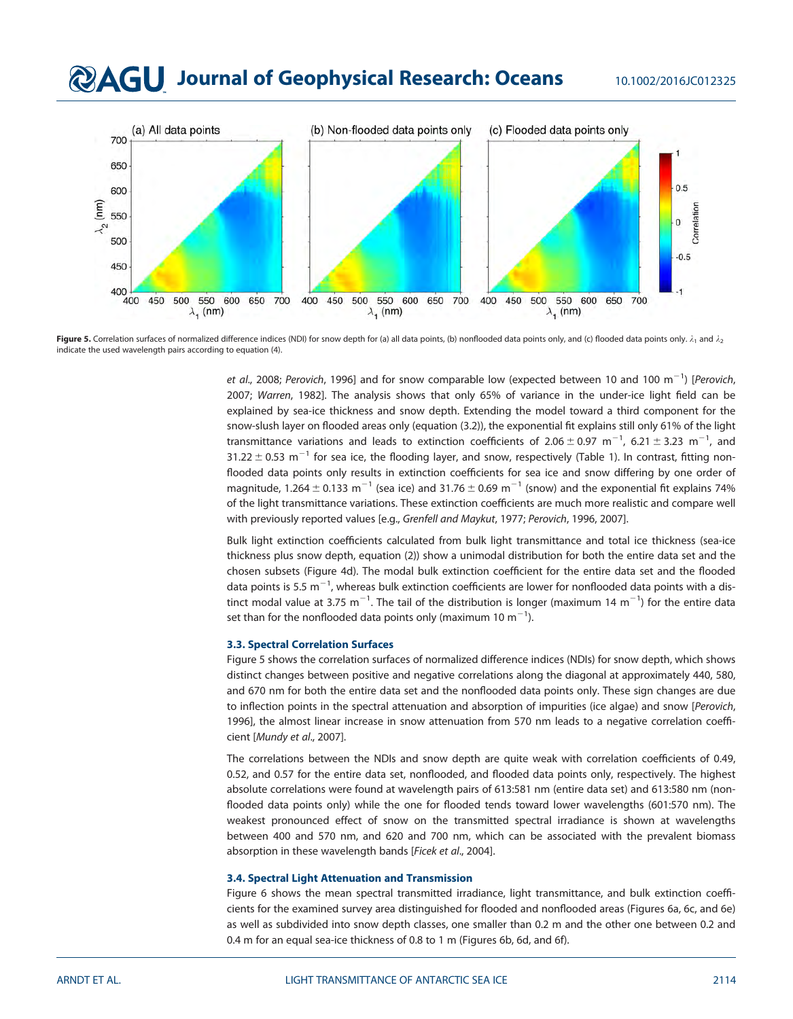# **QAGU** Journal of Geophysical Research: Oceans 10.1002/2016JC012325



Figure 5. Correlation surfaces of normalized difference indices (NDI) for snow depth for (a) all data points, (b) nonflooded data points only, and (c) flooded data points only.  $\lambda_1$  and  $\lambda_2$ indicate the used wavelength pairs according to equation (4).

*et al.*, 2008; Perovich, 1996] and for snow comparable low (expected between 10 and 100  $\text{m}^{-1}$ ) [Perovich, 2007; Warren, 1982]. The analysis shows that only 65% of variance in the under-ice light field can be explained by sea-ice thickness and snow depth. Extending the model toward a third component for the snow-slush layer on flooded areas only (equation (3.2)), the exponential fit explains still only 61% of the light transmittance variations and leads to extinction coefficients of 2.06  $\pm$  0.97 m<sup>-1</sup>, 6.21  $\pm$  3.23 m<sup>-1</sup>, and 31.22  $\pm$  0.53 m<sup>-1</sup> for sea ice, the flooding layer, and snow, respectively (Table 1). In contrast, fitting nonflooded data points only results in extinction coefficients for sea ice and snow differing by one order of magnitude, 1.264  $\pm$  0.133 m<sup>-1</sup> (sea ice) and 31.76  $\pm$  0.69 m<sup>-1</sup> (snow) and the exponential fit explains 74% of the light transmittance variations. These extinction coefficients are much more realistic and compare well with previously reported values [e.g., Grenfell and Maykut, 1977; Perovich, 1996, 2007].

Bulk light extinction coefficients calculated from bulk light transmittance and total ice thickness (sea-ice thickness plus snow depth, equation (2)) show a unimodal distribution for both the entire data set and the chosen subsets (Figure 4d). The modal bulk extinction coefficient for the entire data set and the flooded data points is 5.5 m $^{-1}$ , whereas bulk extinction coefficients are lower for nonflooded data points with a distinct modal value at 3.75  $\mathrm{m}^{-1}$ . The tail of the distribution is longer (maximum 14  $\mathrm{m}^{-1}$ ) for the entire data set than for the nonflooded data points only (maximum 10  $\mathrm{m}^{-1}$ ).

#### 3.3. Spectral Correlation Surfaces

Figure 5 shows the correlation surfaces of normalized difference indices (NDIs) for snow depth, which shows distinct changes between positive and negative correlations along the diagonal at approximately 440, 580, and 670 nm for both the entire data set and the nonflooded data points only. These sign changes are due to inflection points in the spectral attenuation and absorption of impurities (ice algae) and snow [Perovich, 1996], the almost linear increase in snow attenuation from 570 nm leads to a negative correlation coefficient [Mundy et al., 2007].

The correlations between the NDIs and snow depth are quite weak with correlation coefficients of 0.49, 0.52, and 0.57 for the entire data set, nonflooded, and flooded data points only, respectively. The highest absolute correlations were found at wavelength pairs of 613:581 nm (entire data set) and 613:580 nm (nonflooded data points only) while the one for flooded tends toward lower wavelengths (601:570 nm). The weakest pronounced effect of snow on the transmitted spectral irradiance is shown at wavelengths between 400 and 570 nm, and 620 and 700 nm, which can be associated with the prevalent biomass absorption in these wavelength bands [Ficek et al., 2004].

#### 3.4. Spectral Light Attenuation and Transmission

Figure 6 shows the mean spectral transmitted irradiance, light transmittance, and bulk extinction coefficients for the examined survey area distinguished for flooded and nonflooded areas (Figures 6a, 6c, and 6e) as well as subdivided into snow depth classes, one smaller than 0.2 m and the other one between 0.2 and 0.4 m for an equal sea-ice thickness of 0.8 to 1 m (Figures 6b, 6d, and 6f).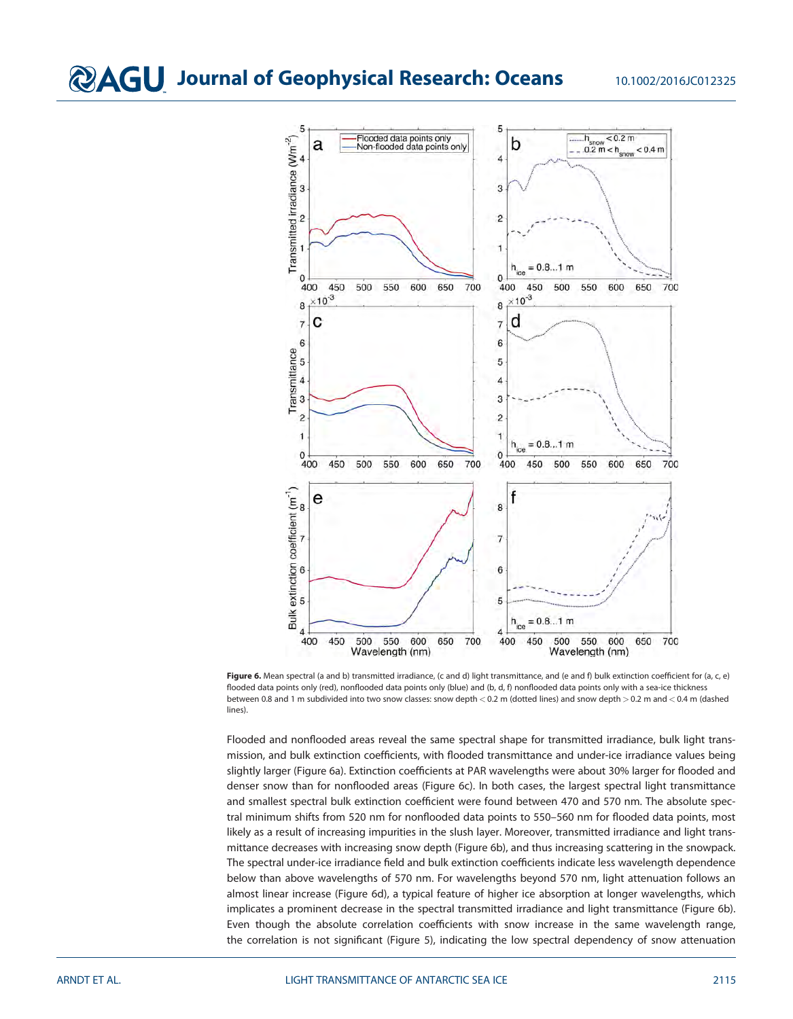

Figure 6. Mean spectral (a and b) transmitted irradiance, (c and d) light transmittance, and (e and f) bulk extinction coefficient for (a, c, e) flooded data points only (red), nonflooded data points only (blue) and (b, d, f) nonflooded data points only with a sea-ice thickness between 0.8 and 1 m subdivided into two snow classes: snow depth < 0.2 m (dotted lines) and snow depth > 0.2 m and < 0.4 m (dashed lines).

Flooded and nonflooded areas reveal the same spectral shape for transmitted irradiance, bulk light transmission, and bulk extinction coefficients, with flooded transmittance and under-ice irradiance values being slightly larger (Figure 6a). Extinction coefficients at PAR wavelengths were about 30% larger for flooded and denser snow than for nonflooded areas (Figure 6c). In both cases, the largest spectral light transmittance and smallest spectral bulk extinction coefficient were found between 470 and 570 nm. The absolute spectral minimum shifts from 520 nm for nonflooded data points to 550–560 nm for flooded data points, most likely as a result of increasing impurities in the slush layer. Moreover, transmitted irradiance and light transmittance decreases with increasing snow depth (Figure 6b), and thus increasing scattering in the snowpack. The spectral under-ice irradiance field and bulk extinction coefficients indicate less wavelength dependence below than above wavelengths of 570 nm. For wavelengths beyond 570 nm, light attenuation follows an almost linear increase (Figure 6d), a typical feature of higher ice absorption at longer wavelengths, which implicates a prominent decrease in the spectral transmitted irradiance and light transmittance (Figure 6b). Even though the absolute correlation coefficients with snow increase in the same wavelength range, the correlation is not significant (Figure 5), indicating the low spectral dependency of snow attenuation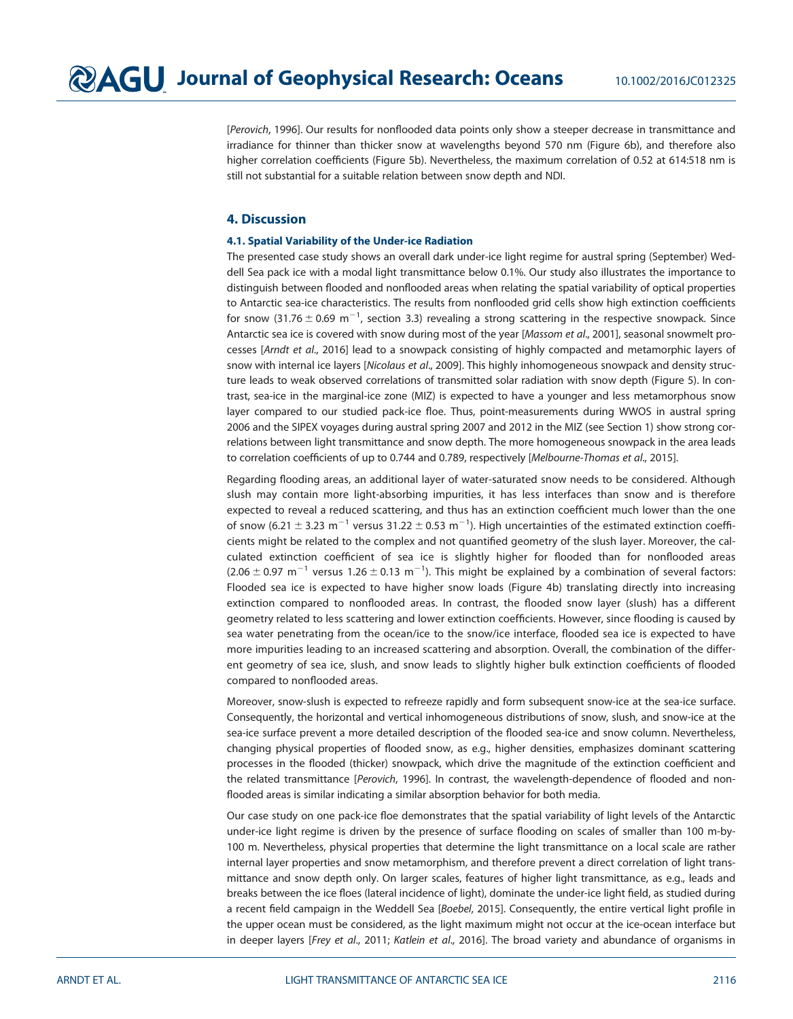[Perovich, 1996]. Our results for nonflooded data points only show a steeper decrease in transmittance and irradiance for thinner than thicker snow at wavelengths beyond 570 nm (Figure 6b), and therefore also higher correlation coefficients (Figure 5b). Nevertheless, the maximum correlation of 0.52 at 614:518 nm is still not substantial for a suitable relation between snow depth and NDI.

# 4. Discussion

## 4.1. Spatial Variability of the Under-ice Radiation

The presented case study shows an overall dark under-ice light regime for austral spring (September) Weddell Sea pack ice with a modal light transmittance below 0.1%. Our study also illustrates the importance to distinguish between flooded and nonflooded areas when relating the spatial variability of optical properties to Antarctic sea-ice characteristics. The results from nonflooded grid cells show high extinction coefficients for snow (31.76  $\pm$  0.69 m $^{-1}$ , section 3.3) revealing a strong scattering in the respective snowpack. Since Antarctic sea ice is covered with snow during most of the year [Massom et al., 2001], seasonal snowmelt processes [Arndt et al., 2016] lead to a snowpack consisting of highly compacted and metamorphic layers of snow with internal ice layers [Nicolaus et al., 2009]. This highly inhomogeneous snowpack and density structure leads to weak observed correlations of transmitted solar radiation with snow depth (Figure 5). In contrast, sea-ice in the marginal-ice zone (MIZ) is expected to have a younger and less metamorphous snow layer compared to our studied pack-ice floe. Thus, point-measurements during WWOS in austral spring 2006 and the SIPEX voyages during austral spring 2007 and 2012 in the MIZ (see Section 1) show strong correlations between light transmittance and snow depth. The more homogeneous snowpack in the area leads to correlation coefficients of up to 0.744 and 0.789, respectively [Melbourne-Thomas et al., 2015].

Regarding flooding areas, an additional layer of water-saturated snow needs to be considered. Although slush may contain more light-absorbing impurities, it has less interfaces than snow and is therefore expected to reveal a reduced scattering, and thus has an extinction coefficient much lower than the one of snow (6.21  $\pm$  3.23 m<sup>-1</sup> versus 31.22  $\pm$  0.53 m<sup>-1</sup>). High uncertainties of the estimated extinction coefficients might be related to the complex and not quantified geometry of the slush layer. Moreover, the calculated extinction coefficient of sea ice is slightly higher for flooded than for nonflooded areas  $(2.06 \pm 0.97 \text{ m}^{-1}$  versus 1.26  $\pm$  0.13 m<sup>-1</sup>). This might be explained by a combination of several factors: Flooded sea ice is expected to have higher snow loads (Figure 4b) translating directly into increasing extinction compared to nonflooded areas. In contrast, the flooded snow layer (slush) has a different geometry related to less scattering and lower extinction coefficients. However, since flooding is caused by sea water penetrating from the ocean/ice to the snow/ice interface, flooded sea ice is expected to have more impurities leading to an increased scattering and absorption. Overall, the combination of the different geometry of sea ice, slush, and snow leads to slightly higher bulk extinction coefficients of flooded compared to nonflooded areas.

Moreover, snow-slush is expected to refreeze rapidly and form subsequent snow-ice at the sea-ice surface. Consequently, the horizontal and vertical inhomogeneous distributions of snow, slush, and snow-ice at the sea-ice surface prevent a more detailed description of the flooded sea-ice and snow column. Nevertheless, changing physical properties of flooded snow, as e.g., higher densities, emphasizes dominant scattering processes in the flooded (thicker) snowpack, which drive the magnitude of the extinction coefficient and the related transmittance [Perovich, 1996]. In contrast, the wavelength-dependence of flooded and nonflooded areas is similar indicating a similar absorption behavior for both media.

Our case study on one pack-ice floe demonstrates that the spatial variability of light levels of the Antarctic under-ice light regime is driven by the presence of surface flooding on scales of smaller than 100 m-by-100 m. Nevertheless, physical properties that determine the light transmittance on a local scale are rather internal layer properties and snow metamorphism, and therefore prevent a direct correlation of light transmittance and snow depth only. On larger scales, features of higher light transmittance, as e.g., leads and breaks between the ice floes (lateral incidence of light), dominate the under-ice light field, as studied during a recent field campaign in the Weddell Sea [Boebel, 2015]. Consequently, the entire vertical light profile in the upper ocean must be considered, as the light maximum might not occur at the ice-ocean interface but in deeper layers [Frey et al., 2011; Katlein et al., 2016]. The broad variety and abundance of organisms in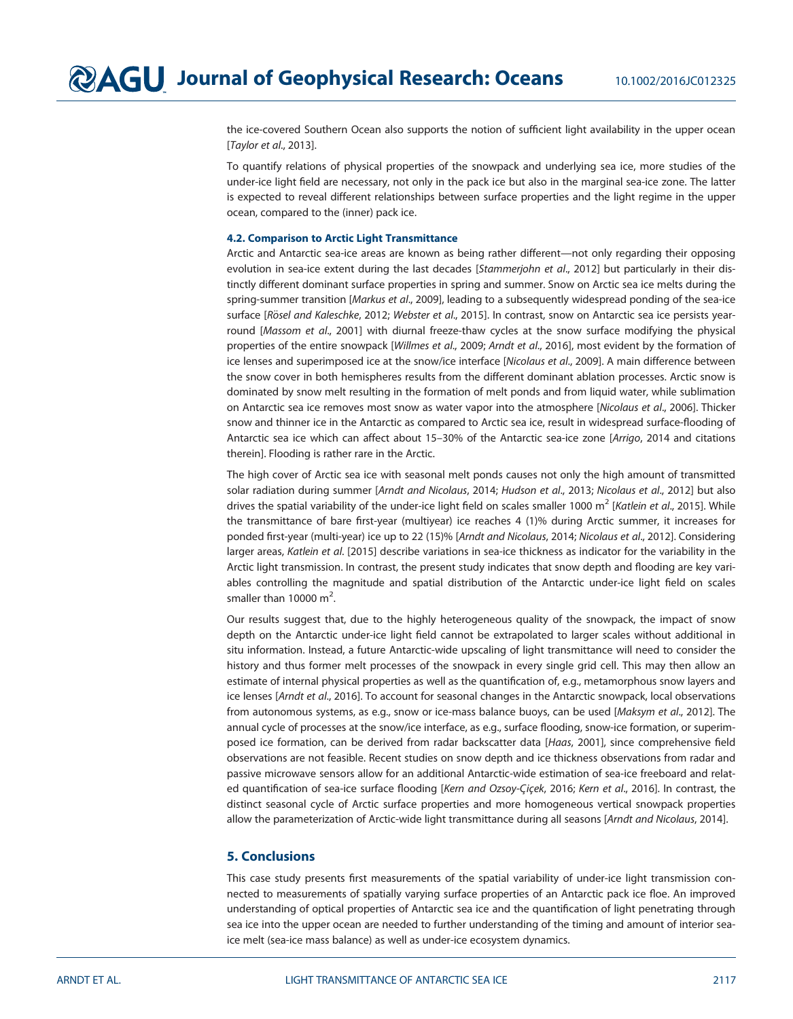the ice-covered Southern Ocean also supports the notion of sufficient light availability in the upper ocean [Taylor et al., 2013].

To quantify relations of physical properties of the snowpack and underlying sea ice, more studies of the under-ice light field are necessary, not only in the pack ice but also in the marginal sea-ice zone. The latter is expected to reveal different relationships between surface properties and the light regime in the upper ocean, compared to the (inner) pack ice.

# 4.2. Comparison to Arctic Light Transmittance

Arctic and Antarctic sea-ice areas are known as being rather different—not only regarding their opposing evolution in sea-ice extent during the last decades [Stammerjohn et al., 2012] but particularly in their distinctly different dominant surface properties in spring and summer. Snow on Arctic sea ice melts during the spring-summer transition [Markus et al., 2009], leading to a subsequently widespread ponding of the sea-ice surface [Rösel and Kaleschke, 2012; Webster et al., 2015]. In contrast, snow on Antarctic sea ice persists yearround [Massom et al., 2001] with diurnal freeze-thaw cycles at the snow surface modifying the physical properties of the entire snowpack [Willmes et al., 2009; Arndt et al., 2016], most evident by the formation of ice lenses and superimposed ice at the snow/ice interface [Nicolaus et al., 2009]. A main difference between the snow cover in both hemispheres results from the different dominant ablation processes. Arctic snow is dominated by snow melt resulting in the formation of melt ponds and from liquid water, while sublimation on Antarctic sea ice removes most snow as water vapor into the atmosphere [Nicolaus et al., 2006]. Thicker snow and thinner ice in the Antarctic as compared to Arctic sea ice, result in widespread surface-flooding of Antarctic sea ice which can affect about 15–30% of the Antarctic sea-ice zone [Arrigo, 2014 and citations therein]. Flooding is rather rare in the Arctic.

The high cover of Arctic sea ice with seasonal melt ponds causes not only the high amount of transmitted solar radiation during summer [Arndt and Nicolaus, 2014; Hudson et al., 2013; Nicolaus et al., 2012] but also drives the spatial variability of the under-ice light field on scales smaller 1000 m<sup>2</sup> [Katlein et al., 2015]. While the transmittance of bare first-year (multiyear) ice reaches 4 (1)% during Arctic summer, it increases for ponded first-year (multi-year) ice up to 22 (15)% [Arndt and Nicolaus, 2014; Nicolaus et al., 2012]. Considering larger areas, Katlein et al. [2015] describe variations in sea-ice thickness as indicator for the variability in the Arctic light transmission. In contrast, the present study indicates that snow depth and flooding are key variables controlling the magnitude and spatial distribution of the Antarctic under-ice light field on scales smaller than 10000  $m^2$ . .

Our results suggest that, due to the highly heterogeneous quality of the snowpack, the impact of snow depth on the Antarctic under-ice light field cannot be extrapolated to larger scales without additional in situ information. Instead, a future Antarctic-wide upscaling of light transmittance will need to consider the history and thus former melt processes of the snowpack in every single grid cell. This may then allow an estimate of internal physical properties as well as the quantification of, e.g., metamorphous snow layers and ice lenses [Arndt et al., 2016]. To account for seasonal changes in the Antarctic snowpack, local observations from autonomous systems, as e.g., snow or ice-mass balance buoys, can be used [Maksym et al., 2012]. The annual cycle of processes at the snow/ice interface, as e.g., surface flooding, snow-ice formation, or superimposed ice formation, can be derived from radar backscatter data [Haas, 2001], since comprehensive field observations are not feasible. Recent studies on snow depth and ice thickness observations from radar and passive microwave sensors allow for an additional Antarctic-wide estimation of sea-ice freeboard and related quantification of sea-ice surface flooding [Kern and Ozsoy-Çiçek, 2016; Kern et al., 2016]. In contrast, the distinct seasonal cycle of Arctic surface properties and more homogeneous vertical snowpack properties allow the parameterization of Arctic-wide light transmittance during all seasons [Arndt and Nicolaus, 2014].

# 5. Conclusions

This case study presents first measurements of the spatial variability of under-ice light transmission connected to measurements of spatially varying surface properties of an Antarctic pack ice floe. An improved understanding of optical properties of Antarctic sea ice and the quantification of light penetrating through sea ice into the upper ocean are needed to further understanding of the timing and amount of interior seaice melt (sea-ice mass balance) as well as under-ice ecosystem dynamics.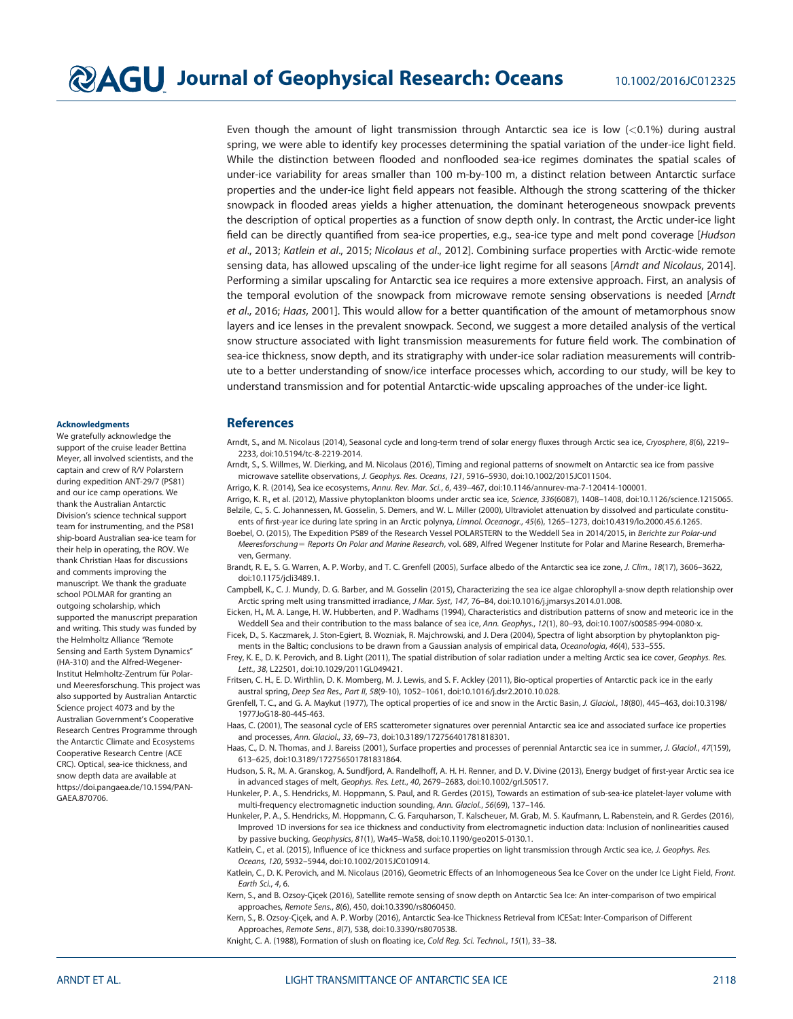Even though the amount of light transmission through Antarctic sea ice is low (<0.1%) during austral spring, we were able to identify key processes determining the spatial variation of the under-ice light field. While the distinction between flooded and nonflooded sea-ice regimes dominates the spatial scales of under-ice variability for areas smaller than 100 m-by-100 m, a distinct relation between Antarctic surface properties and the under-ice light field appears not feasible. Although the strong scattering of the thicker snowpack in flooded areas yields a higher attenuation, the dominant heterogeneous snowpack prevents the description of optical properties as a function of snow depth only. In contrast, the Arctic under-ice light field can be directly quantified from sea-ice properties, e.g., sea-ice type and melt pond coverage [Hudson] et al., 2013; Katlein et al., 2015; Nicolaus et al., 2012]. Combining surface properties with Arctic-wide remote sensing data, has allowed upscaling of the under-ice light regime for all seasons [Arndt and Nicolaus, 2014]. Performing a similar upscaling for Antarctic sea ice requires a more extensive approach. First, an analysis of the temporal evolution of the snowpack from microwave remote sensing observations is needed [Arndt] et al., 2016; Haas, 2001]. This would allow for a better quantification of the amount of metamorphous snow layers and ice lenses in the prevalent snowpack. Second, we suggest a more detailed analysis of the vertical snow structure associated with light transmission measurements for future field work. The combination of sea-ice thickness, snow depth, and its stratigraphy with under-ice solar radiation measurements will contribute to a better understanding of snow/ice interface processes which, according to our study, will be key to understand transmission and for potential Antarctic-wide upscaling approaches of the under-ice light.

#### Acknowledgments

We gratefully acknowledge the support of the cruise leader Bettina Meyer, all involved scientists, and the captain and crew of R/V Polarstern during expedition ANT-29/7 (PS81) and our ice camp operations. We thank the Australian Antarctic Division's science technical support team for instrumenting, and the PS81 ship-board Australian sea-ice team for their help in operating, the ROV. We thank Christian Haas for discussions and comments improving the manuscript. We thank the graduate school POLMAR for granting an outgoing scholarship, which supported the manuscript preparation and writing. This study was funded by the Helmholtz Alliance ''Remote Sensing and Earth System Dynamics'' (HA-310) and the Alfred-Wegener-Institut Helmholtz-Zentrum für Polarund Meeresforschung. This project was also supported by Australian Antarctic Science project 4073 and by the Australian Government's Cooperative Research Centres Programme through the Antarctic Climate and Ecosystems Cooperative Research Centre (ACE CRC). Optical, sea-ice thickness, and snow depth data are available at [https://doi.pangaea.de/10.1594/PAN-](https://doi.pangaea.de/10.1594/PANGAEA.870706)[GAEA.870706](https://doi.pangaea.de/10.1594/PANGAEA.870706).

# **References**

- Arndt, S., and M. Nicolaus (2014), Seasonal cycle and long-term trend of solar energy fluxes through Arctic sea ice, Cryosphere, 8(6), 2219-2233, doi:[10.5194/tc-8-2219-2014.](http://dx.doi.org/10.5194/tc-8-2219-2014)
- Arndt, S., S. Willmes, W. Dierking, and M. Nicolaus (2016), Timing and regional patterns of snowmelt on Antarctic sea ice from passive microwave satellite observations, J. Geophys. Res. Oceans, 121, 5916–5930, doi:[10.1002/2015JC011504](http://dx.doi.org/10.1002/2015JC011504).
- Arrigo, K. R. (2014), Sea ice ecosystems, Annu. Rev. Mar. Sci., 6, 439–467, doi[:10.1146/annurev-ma-7-120414-100001.](http://dx.doi.org/10.1146/annurev-ma-7-120414-100001)
- Arrigo, K. R., et al. (2012), Massive phytoplankton blooms under arctic sea ice, Science, 336(6087), 1408–1408, doi:[10.1126/science.1215065.](http://dx.doi.org/10.1126/science.1215065) Belzile, C., S. C. Johannessen, M. Gosselin, S. Demers, and W. L. Miller (2000), Ultraviolet attenuation by dissolved and particulate constitu-
- ents of first-year ice during late spring in an Arctic polynya, Limnol. Oceanogr., 45(6), 1265–1273, doi:[10.4319/lo.2000.45.6.1265.](http://dx.doi.org/10.4319/lo.2000.45.6.1265) Boebel, O. (2015), The Expedition PS89 of the Research Vessel POLARSTERN to the Weddell Sea in 2014/2015, in Berichte zur Polar-und Meeresforschung = Reports On Polar and Marine Research, vol. 689, Alfred Wegener Institute for Polar and Marine Research, Bremerha-
- ven, Germany. Brandt, R. E., S. G. Warren, A. P. Worby, and T. C. Grenfell (2005), Surface albedo of the Antarctic sea ice zone, J. Clim., 18(17), 3606-3622, doi[:10.1175/jcli3489.1.](http://dx.doi.org/10.1175/jcli3489.1)
- Campbell, K., C. J. Mundy, D. G. Barber, and M. Gosselin (2015), Characterizing the sea ice algae chlorophyll a-snow depth relationship over Arctic spring melt using transmitted irradiance, J Mar. Syst, 147, 76–84, doi[:10.1016/j.jmarsys.2014.01.008.](http://dx.doi.org/10.1016/j.jmarsys.2014.01.008)
- Eicken, H., M. A. Lange, H. W. Hubberten, and P. Wadhams (1994), Characteristics and distribution patterns of snow and meteoric ice in the Weddell Sea and their contribution to the mass balance of sea ice, Ann. Geophys., 12(1), 80–93, doi:[10.1007/s00585-994-0080-x.](http://dx.doi.org/10.1007/s00585-994-0080-x)

Ficek, D., S. Kaczmarek, J. Ston-Egiert, B. Wozniak, R. Majchrowski, and J. Dera (2004), Spectra of light absorption by phytoplankton pigments in the Baltic; conclusions to be drawn from a Gaussian analysis of empirical data, Oceanologia, 46(4), 533–555.

- Frey, K. E., D. K. Perovich, and B. Light (2011), The spatial distribution of solar radiation under a melting Arctic sea ice cover, Geophys. Res. Lett., 38, L22501, doi:[10.1029/2011GL049421](http://dx.doi.org/10.1029/2011GL049421).
- Fritsen, C. H., E. D. Wirthlin, D. K. Momberg, M. J. Lewis, and S. F. Ackley (2011), Bio-optical properties of Antarctic pack ice in the early austral spring, Deep Sea Res., Part II, 58(9-10), 1052–1061, doi[:10.1016/j.dsr2.2010.10.028.](http://dx.doi.org/10.1016/j.dsr2.2010.10.028)
- Grenfell, T. C., and G. A. Maykut (1977), The optical properties of ice and snow in the Arctic Basin, J. Glaciol., 18(80), 445-463, doi:[10.3198/](http://dx.doi.org/10.3198/1977JoG18-80-445-463) [1977JoG18-80-445-463.](http://dx.doi.org/10.3198/1977JoG18-80-445-463)
- Haas, C. (2001), The seasonal cycle of ERS scatterometer signatures over perennial Antarctic sea ice and associated surface ice properties and processes, Ann. Glaciol., 33, 69–73, doi:[10.3189/172756401781818301.](http://dx.doi.org/10.3189/172756401781818301)
- Haas, C., D. N. Thomas, and J. Bareiss (2001), Surface properties and processes of perennial Antarctic sea ice in summer, J. Glaciol., 47(159), 613–625, doi[:10.3189/172756501781831864.](http://dx.doi.org/10.3189/172756501781831864)
- Hudson, S. R., M. A. Granskog, A. Sundfjord, A. Randelhoff, A. H. H. Renner, and D. V. Divine (2013), Energy budget of first-year Arctic sea ice in advanced stages of melt, Geophys. Res. Lett., 40, 2679–2683, doi[:10.1002/grl.50517](http://dx.doi.org/10.1002/grl.50517).
- Hunkeler, P. A., S. Hendricks, M. Hoppmann, S. Paul, and R. Gerdes (2015), Towards an estimation of sub-sea-ice platelet-layer volume with multi-frequency electromagnetic induction sounding, Ann. Glaciol., 56(69), 137–146.
- Hunkeler, P. A., S. Hendricks, M. Hoppmann, C. G. Farquharson, T. Kalscheuer, M. Grab, M. S. Kaufmann, L. Rabenstein, and R. Gerdes (2016), Improved 1D inversions for sea ice thickness and conductivity from electromagnetic induction data: Inclusion of nonlinearities caused by passive bucking, Geophysics, 81(1), Wa45–Wa58, doi[:10.1190/geo2015-0130.1](http://dx.doi.org/10.1190/geo2015-0130.1).
- Katlein, C., et al. (2015), Influence of ice thickness and surface properties on light transmission through Arctic sea ice, J. Geophys. Res. Oceans, 120, 5932–5944, doi:[10.1002/2015JC010914](http://dx.doi.org/10.1002/2015JC010914).
- Katlein, C., D. K. Perovich, and M. Nicolaus (2016), Geometric Effects of an Inhomogeneous Sea Ice Cover on the under Ice Light Field, Front. Earth Sci., 4, 6.
- Kern, S., and B. Ozsoy-Çiçek (2016), Satellite remote sensing of snow depth on Antarctic Sea Ice: An inter-comparison of two empirical approaches, Remote Sens., 8(6), 450, doi:[10.3390/rs8060450.](http://dx.doi.org/10.3390/rs8060450)
- Kern, S., B. Ozsoy-Cicek, and A. P. Worby (2016), Antarctic Sea-Ice Thickness Retrieval from ICESat: Inter-Comparison of Different Approaches, Remote Sens., 8(7), 538, doi[:10.3390/rs8070538.](http://dx.doi.org/10.3390/rs8070538)
- Knight, C. A. (1988), Formation of slush on floating ice, Cold Reg. Sci. Technol., 15(1), 33-38.